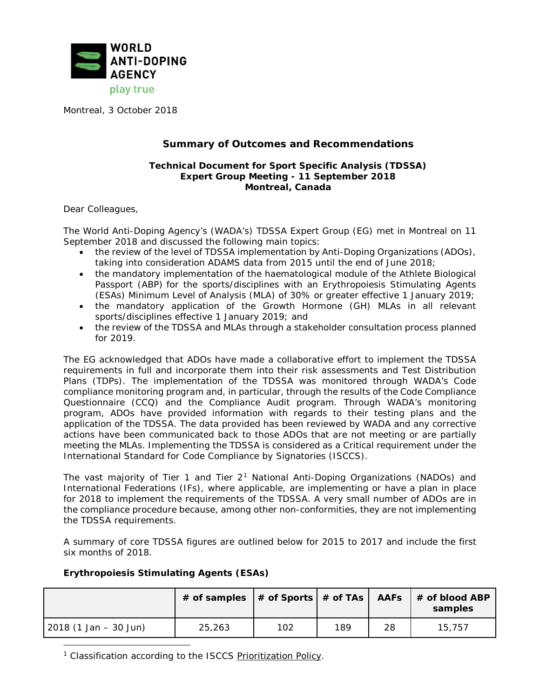

Montreal, 3 October 2018

# **Summary of Outcomes and Recommendations**

#### **Technical Document for Sport Specific Analysis (TDSSA) Expert Group Meeting - 11 September 2018 Montreal, Canada**

Dear Colleagues,

The World Anti-Doping Agency's (WADA's) TDSSA Expert Group (EG) met in Montreal on 11 September 2018 and discussed the following main topics:

- the review of the level of TDSSA implementation by Anti-Doping Organizations (ADOs), taking into consideration ADAMS data from 2015 until the end of June 2018;
- the mandatory implementation of the haematological module of the Athlete Biological Passport (ABP) for the sports/disciplines with an Erythropoiesis Stimulating Agents (ESAs) Minimum Level of Analysis (MLA) of 30% or greater effective 1 January 2019;
- the mandatory application of the Growth Hormone (GH) MLAs in all relevant sports/disciplines effective 1 January 2019; and
- the review of the TDSSA and MLAs through a stakeholder consultation process planned for 2019.

The EG acknowledged that ADOs have made a collaborative effort to implement the TDSSA requirements in full and incorporate them into their risk assessments and Test Distribution Plans (TDPs). The implementation of the TDSSA was monitored through WADA's Code compliance monitoring program and, in particular, through the results of the Code Compliance Questionnaire (CCQ) and the Compliance Audit program. Through WADA's monitoring program, ADOs have provided information with regards to their testing plans and the application of the TDSSA. The data provided has been reviewed by WADA and any corrective actions have been communicated back to those ADOs that are not meeting or are partially meeting the MLAs. Implementing the TDSSA is considered as a Critical requirement under the International Standard for Code Compliance by Signatories (ISCCS).

The vast majority of Tier 1 and Tier 2[1](#page-0-0) National Anti-Doping Organizations (NADOs) and International Federations (IFs), where applicable, are implementing or have a plan in place for 2018 to implement the requirements of the TDSSA. A very small number of ADOs are in the compliance procedure because, among other non-conformities, they are not implementing the TDSSA requirements.

A summary of core TDSSA figures are outlined below for 2015 to 2017 and include the first six months of 2018.

## **Erythropoiesis Stimulating Agents (ESAs)**

 $\overline{a}$ 

|                        |        |     |     |    | # of samples  # of Sports   # of TAs   AAFs   # of blood ABP<br>samples |
|------------------------|--------|-----|-----|----|-------------------------------------------------------------------------|
| $2018(1 Jan - 30 Jun)$ | 25,263 | 102 | 189 | 28 | 15,757                                                                  |

<span id="page-0-0"></span><sup>1</sup> Classification according to the ISCCS [Prioritization](https://www.wada-ama.org/sites/default/files/resources/files/isccs_prioritization_policy.pdf) Policy.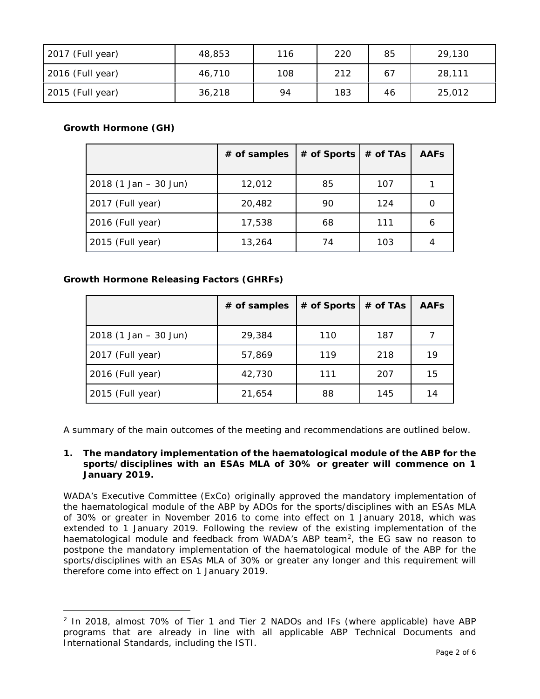| $2017$ (Full year) | 48,853 | 116 | 220 | 85 | 29,130 |
|--------------------|--------|-----|-----|----|--------|
| 2016 (Full year)   | 46,710 | 108 | 212 |    | 28,111 |
| 2015 (Full year)   | 36,218 | 94  | 183 | 46 | 25,012 |

# **Growth Hormone (GH)**

 $\overline{a}$ 

|                         | $#$ of samples | # of Sports | # of TAs | <b>AAFs</b> |
|-------------------------|----------------|-------------|----------|-------------|
| $2018$ (1 Jan – 30 Jun) | 12,012         | 85          | 107      |             |
| 2017 (Full year)        | 20,482         | 90          | 124      | O           |
| 2016 (Full year)        | 17,538         | 68          | 111      | 6           |
| 2015 (Full year)        | 13,264         | 74          | 103      |             |

# **Growth Hormone Releasing Factors (GHRFs)**

|                         | # of samples | $#$ of Sports $ $ | # of TAs | <b>AAFs</b> |
|-------------------------|--------------|-------------------|----------|-------------|
| $2018$ (1 Jan – 30 Jun) | 29,384       | 110               | 187      |             |
| 2017 (Full year)        | 57,869       | 119               | 218      | 19          |
| 2016 (Full year)        | 42,730       | 111               | 207      | 15          |
| 2015 (Full year)        | 21,654       | 88                | 145      | 14          |

A summary of the main outcomes of the meeting and recommendations are outlined below.

## **1. The mandatory implementation of the haematological module of the ABP for the sports/disciplines with an ESAs MLA of 30% or greater will commence on 1 January 2019.**

WADA's Executive Committee (ExCo) originally approved the mandatory implementation of the haematological module of the ABP by ADOs for the sports/disciplines with an ESAs MLA of 30% or greater in November 2016 to come into effect on 1 January 2018, which was extended to 1 January 2019. Following the review of the existing implementation of the haematological module and feedback from WADA's ABP team<sup>[2](#page-1-0)</sup>, the EG saw no reason to postpone the mandatory implementation of the haematological module of the ABP for the sports/disciplines with an ESAs MLA of 30% or greater any longer and this requirement will therefore come into effect on 1 January 2019.

<span id="page-1-0"></span><sup>&</sup>lt;sup>2</sup> In 2018, almost 70% of Tier 1 and Tier 2 NADOs and IFs (where applicable) have ABP programs that are already in line with all applicable ABP Technical Documents and International Standards, including the ISTI.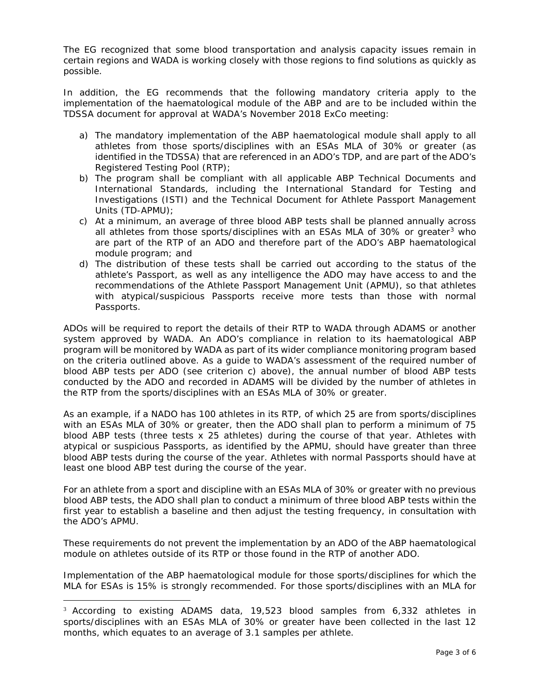The EG recognized that some blood transportation and analysis capacity issues remain in certain regions and WADA is working closely with those regions to find solutions as quickly as possible.

In addition, the EG recommends that the following mandatory criteria apply to the implementation of the haematological module of the ABP and are to be included within the TDSSA document for approval at WADA's November 2018 ExCo meeting:

- a) The mandatory implementation of the ABP haematological module shall apply to all athletes from those sports/disciplines with an ESAs MLA of 30% or greater (as identified in the TDSSA) that are referenced in an ADO's TDP, and are part of the ADO's Registered Testing Pool (RTP);
- b) The program shall be compliant with all applicable ABP Technical Documents and International Standards, including the International Standard for Testing and Investigations (ISTI) and the Technical Document for Athlete Passport Management Units (TD-APMU);
- c) At a minimum, an average of three blood ABP tests shall be planned annually across all athletes from those sports/disciplines with an ESAs MLA of [3](#page-2-0)0% or greater<sup>3</sup> who are part of the RTP of an ADO and therefore part of the ADO's ABP haematological module program; and
- d) The distribution of these tests shall be carried out according to the status of the athlete's Passport, as well as any intelligence the ADO may have access to and the recommendations of the Athlete Passport Management Unit (APMU), so that athletes with atypical/suspicious Passports receive more tests than those with normal Passports.

ADOs will be required to report the details of their RTP to WADA through ADAMS or another system approved by WADA. An ADO's compliance in relation to its haematological ABP program will be monitored by WADA as part of its wider compliance monitoring program based on the criteria outlined above. As a guide to WADA's assessment of the required number of blood ABP tests per ADO (see criterion c) above), the annual number of blood ABP tests conducted by the ADO and recorded in ADAMS will be divided by the number of athletes in the RTP from the sports/disciplines with an ESAs MLA of 30% or greater.

As an example, if a NADO has 100 athletes in its RTP, of which 25 are from sports/disciplines with an ESAs MLA of 30% or greater, then the ADO shall plan to perform a minimum of 75 blood ABP tests (three tests x 25 athletes) during the course of that year. Athletes with atypical or suspicious Passports, as identified by the APMU, should have greater than three blood ABP tests during the course of the year. Athletes with normal Passports should have at least one blood ABP test during the course of the year.

For an athlete from a sport and discipline with an ESAs MLA of 30% or greater with no previous blood ABP tests, the ADO shall plan to conduct a minimum of three blood ABP tests within the first year to establish a baseline and then adjust the testing frequency, in consultation with the ADO's APMU.

These requirements do not prevent the implementation by an ADO of the ABP haematological module on athletes outside of its RTP or those found in the RTP of another ADO.

Implementation of the ABP haematological module for those sports/disciplines for which the MLA for ESAs is 15% is strongly recommended. For those sports/disciplines with an MLA for

<span id="page-2-0"></span><sup>&</sup>lt;sup>3</sup> According to existing ADAMS data, 19,523 blood samples from 6,332 athletes in sports/disciplines with an ESAs MLA of 30% or greater have been collected in the last 12 months, which equates to an average of 3.1 samples per athlete.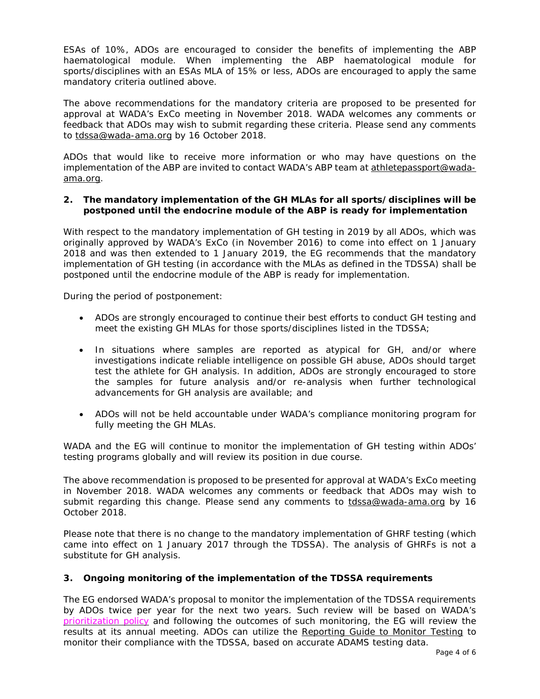ESAs of 10%, ADOs are encouraged to consider the benefits of implementing the ABP haematological module. When implementing the ABP haematological module for sports/disciplines with an ESAs MLA of 15% or less, ADOs are encouraged to apply the same mandatory criteria outlined above.

The above recommendations for the mandatory criteria are proposed to be presented for approval at WADA's ExCo meeting in November 2018. WADA welcomes any comments or feedback that ADOs may wish to submit regarding these criteria. Please send any comments to [tdssa@wada-ama.org](mailto:tdssa@wada-ama.org) by 16 October 2018.

ADOs that would like to receive more information or who may have questions on the implementation of the ABP are invited to contact WADA's ABP team at [athletepassport@wada](mailto:athletepassport@wada-ama.org)[ama.org.](mailto:athletepassport@wada-ama.org)

#### **2. The mandatory implementation of the GH MLAs for all sports/disciplines will be postponed until the endocrine module of the ABP is ready for implementation**

With respect to the mandatory implementation of GH testing in 2019 by all ADOs, which was originally approved by WADA's ExCo (in November 2016) to come into effect on 1 January 2018 and was then extended to 1 January 2019, the EG recommends that the mandatory implementation of GH testing (in accordance with the MLAs as defined in the TDSSA) shall be postponed until the endocrine module of the ABP is ready for implementation.

During the period of postponement:

- ADOs are strongly encouraged to continue their best efforts to conduct GH testing and meet the existing GH MLAs for those sports/disciplines listed in the TDSSA;
- In situations where samples are reported as atypical for GH, and/or where investigations indicate reliable intelligence on possible GH abuse, ADOs should target test the athlete for GH analysis. In addition, ADOs are strongly encouraged to store the samples for future analysis and/or re-analysis when further technological advancements for GH analysis are available; and
- ADOs will not be held accountable under WADA's compliance monitoring program for fully meeting the GH MLAs.

WADA and the EG will continue to monitor the implementation of GH testing within ADOs' testing programs globally and will review its position in due course.

The above recommendation is proposed to be presented for approval at WADA's ExCo meeting in November 2018. WADA welcomes any comments or feedback that ADOs may wish to submit regarding this change. Please send any comments to tolassa@wada-ama.org by 16 October 2018.

Please note that there is no change to the mandatory implementation of GHRF testing (which came into effect on 1 January 2017 through the TDSSA). The analysis of GHRFs is not a substitute for GH analysis.

## **3. Ongoing monitoring of the implementation of the TDSSA requirements**

The EG endorsed WADA's proposal to monitor the implementation of the TDSSA requirements by ADOs twice per year for the next two years. Such review will be based on WADA's [prioritization](https://www.wada-ama.org/sites/default/files/resources/files/isccs_prioritization_policy.pdf) policy and following the outcomes of such monitoring, the EG will review the results at its annual meeting. ADOs can utilize the [Reporting](https://www.wada-ama.org/sites/default/files/resources/files/reporting_guide_to_monitor_testing_v1.0.pdf) Guide to Monitor Testing to monitor their compliance with the TDSSA, based on accurate ADAMS testing data.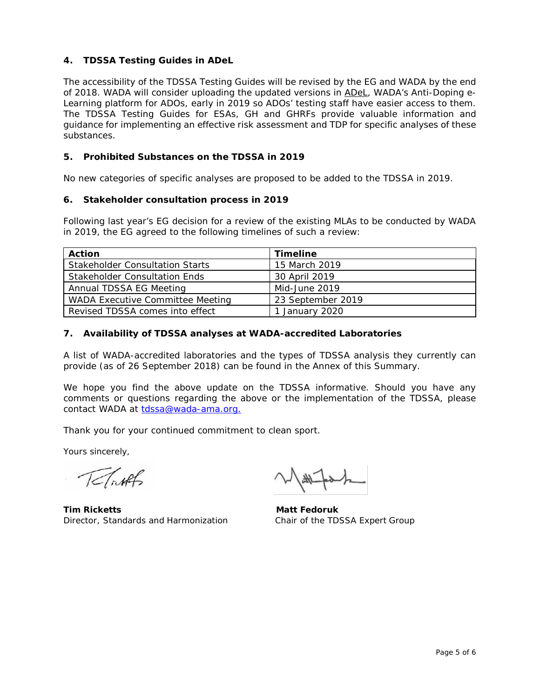# **4. TDSSA Testing Guides in ADeL**

The accessibility of the TDSSA Testing Guides will be revised by the EG and WADA by the end of 2018. WADA will consider uploading the updated versions in [ADeL,](https://www.wada-ama.org/en/what-we-do/education-prevention/anti-doping-e-learning-adel) WADA's Anti-Doping e-Learning platform for ADOs, early in 2019 so ADOs' testing staff have easier access to them. The TDSSA Testing Guides for ESAs, GH and GHRFs provide valuable information and guidance for implementing an effective risk assessment and TDP for specific analyses of these substances.

## **5. Prohibited Substances on the TDSSA in 2019**

No new categories of specific analyses are proposed to be added to the TDSSA in 2019.

#### **6. Stakeholder consultation process in 2019**

Following last year's EG decision for a review of the existing MLAs to be conducted by WADA in 2019, the EG agreed to the following timelines of such a review:

| <b>Action</b>                          | <b>Timeline</b>   |
|----------------------------------------|-------------------|
| <b>Stakeholder Consultation Starts</b> | 15 March 2019     |
| <b>Stakeholder Consultation Ends</b>   | 30 April 2019     |
| Annual TDSSA EG Meeting                | Mid-June 2019     |
| WADA Executive Committee Meeting       | 23 September 2019 |
| Revised TDSSA comes into effect        | January 2020      |

## **7. Availability of TDSSA analyses at WADA-accredited Laboratories**

A list of WADA-accredited laboratories and the types of TDSSA analysis they currently can provide (as of 26 September 2018) can be found in the Annex of this Summary.

We hope you find the above update on the TDSSA informative. Should you have any comments or questions regarding the above or the implementation of the TDSSA, please contact WADA at [tdssa@wada-ama.org.](mailto:tdssa@wada-ama.org)

Thank you for your continued commitment to clean sport.

Yours sincerely,

TeTirks

**Tim Ricketts** Matt Fedoruk Director, Standards and Harmonization Chair of the TDSSA Expert Group